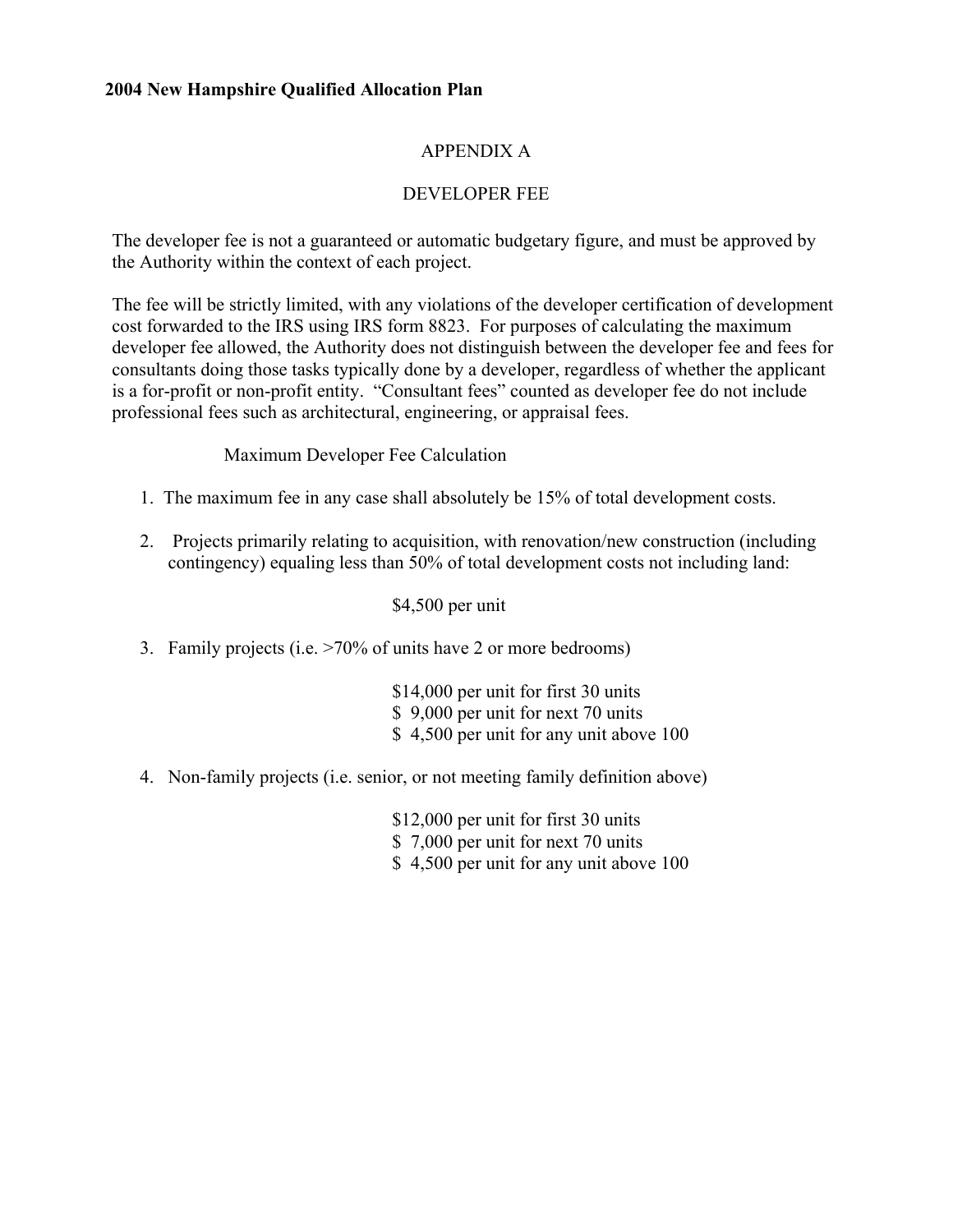# APPENDIX A

# DEVELOPER FEE

The developer fee is not a guaranteed or automatic budgetary figure, and must be approved by the Authority within the context of each project.

The fee will be strictly limited, with any violations of the developer certification of development cost forwarded to the IRS using IRS form 8823. For purposes of calculating the maximum developer fee allowed, the Authority does not distinguish between the developer fee and fees for consultants doing those tasks typically done by a developer, regardless of whether the applicant is a for-profit or non-profit entity. "Consultant fees" counted as developer fee do not include professional fees such as architectural, engineering, or appraisal fees.

## Maximum Developer Fee Calculation

- 1. The maximum fee in any case shall absolutely be 15% of total development costs.
- 2. Projects primarily relating to acquisition, with renovation/new construction (including contingency) equaling less than 50% of total development costs not including land:

\$4,500 per unit

3. Family projects (i.e. >70% of units have 2 or more bedrooms)

\$14,000 per unit for first 30 units \$ 9,000 per unit for next 70 units \$ 4,500 per unit for any unit above 100

4. Non-family projects (i.e. senior, or not meeting family definition above)

\$12,000 per unit for first 30 units

- \$ 7,000 per unit for next 70 units
- \$ 4,500 per unit for any unit above 100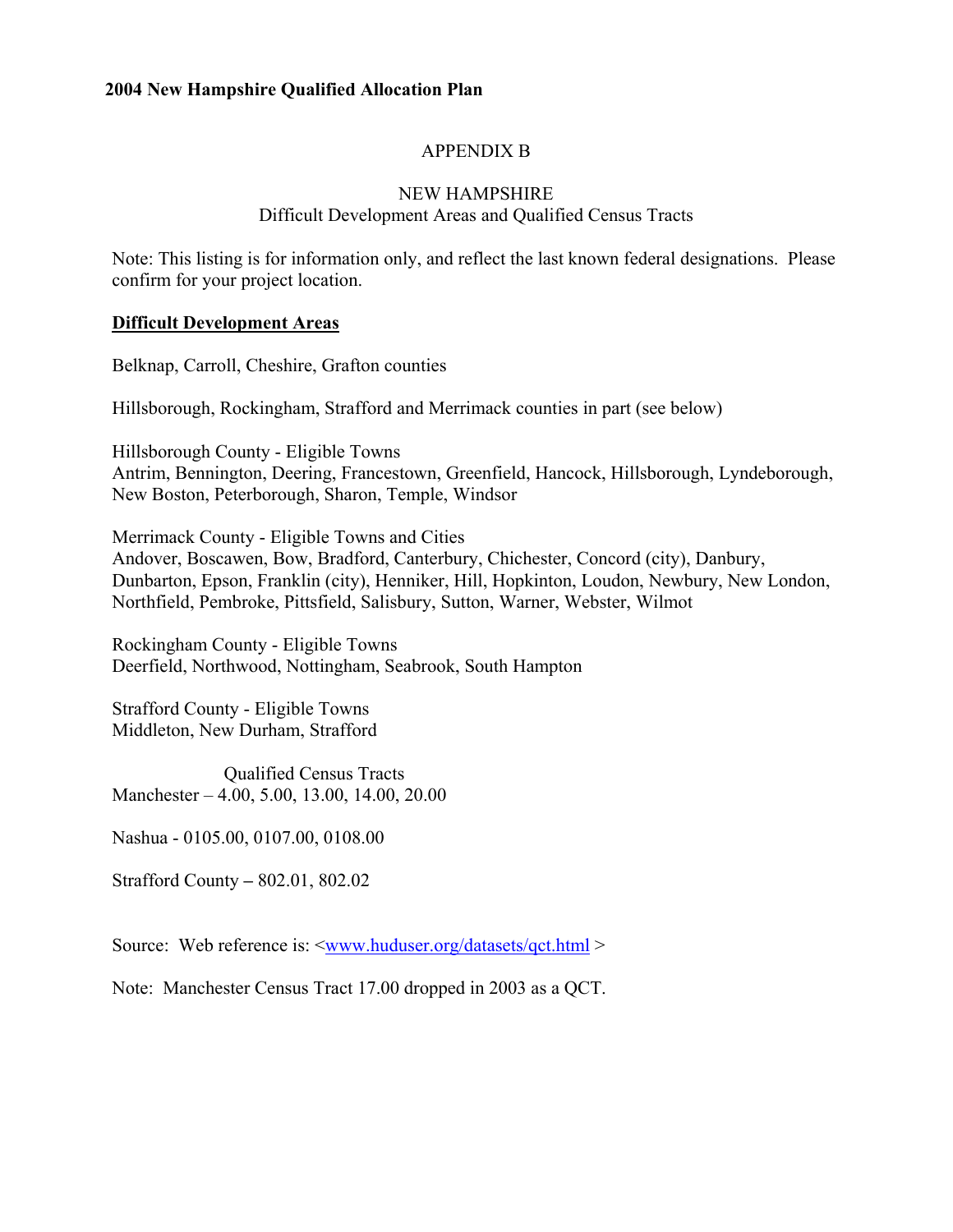# APPENDIX B

### NEW HAMPSHIRE Difficult Development Areas and Qualified Census Tracts

Note: This listing is for information only, and reflect the last known federal designations. Please confirm for your project location.

### **Difficult Development Areas**

Belknap, Carroll, Cheshire, Grafton counties

Hillsborough, Rockingham, Strafford and Merrimack counties in part (see below)

Hillsborough County - Eligible Towns Antrim, Bennington, Deering, Francestown, Greenfield, Hancock, Hillsborough, Lyndeborough, New Boston, Peterborough, Sharon, Temple, Windsor

Merrimack County - Eligible Towns and Cities Andover, Boscawen, Bow, Bradford, Canterbury, Chichester, Concord (city), Danbury, Dunbarton, Epson, Franklin (city), Henniker, Hill, Hopkinton, Loudon, Newbury, New London, Northfield, Pembroke, Pittsfield, Salisbury, Sutton, Warner, Webster, Wilmot

Rockingham County - Eligible Towns Deerfield, Northwood, Nottingham, Seabrook, South Hampton

Strafford County - Eligible Towns Middleton, New Durham, Strafford

Qualified Census Tracts Manchester – 4.00, 5.00, 13.00, 14.00, 20.00

Nashua - 0105.00, 0107.00, 0108.00

Strafford County **–** 802.01, 802.02

Source: Web reference is:  $\langle$ www.huduser.org/datasets/qct.html >

Note: Manchester Census Tract 17.00 dropped in 2003 as a QCT.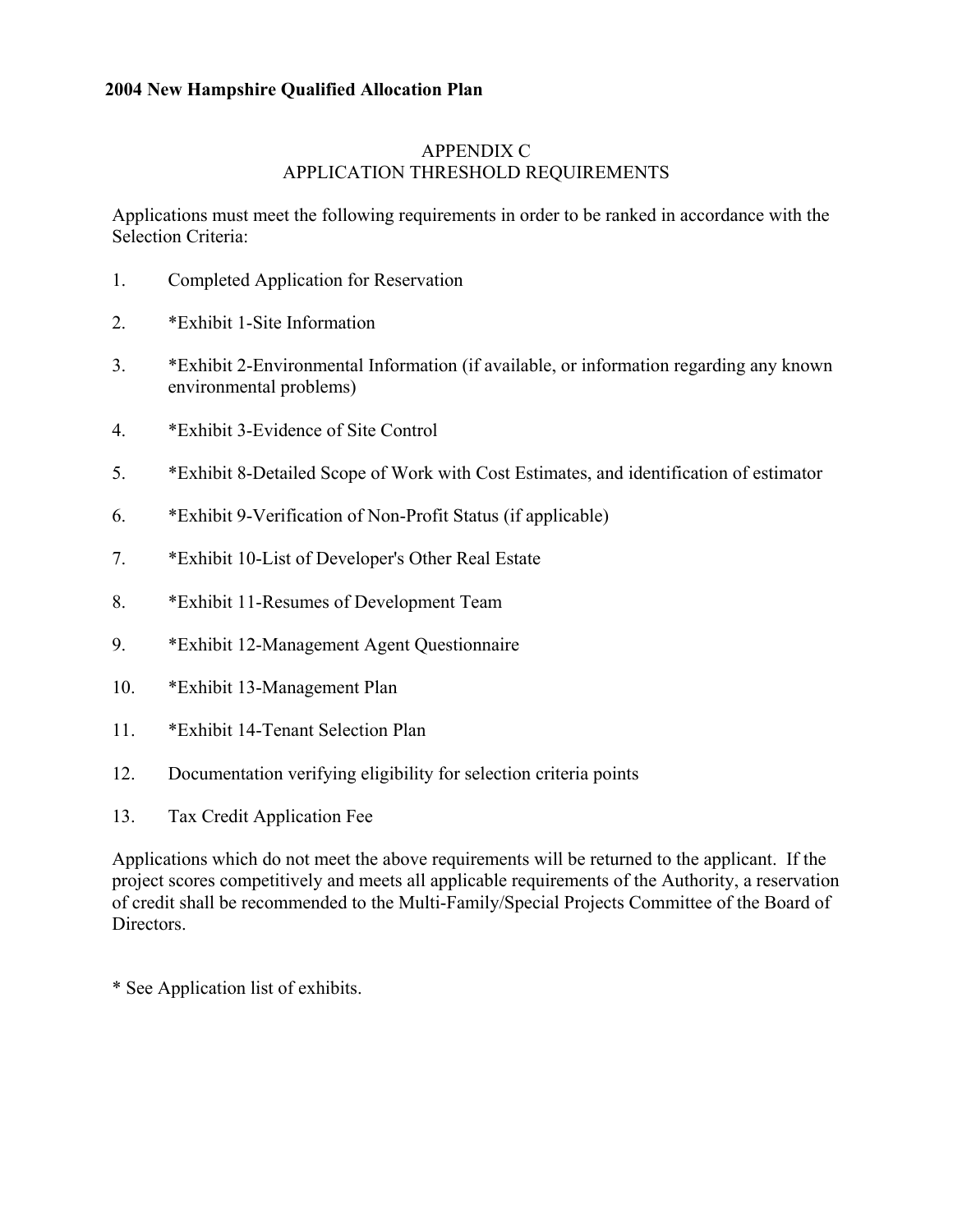# APPENDIX C APPLICATION THRESHOLD REQUIREMENTS

Applications must meet the following requirements in order to be ranked in accordance with the Selection Criteria:

- 1. Completed Application for Reservation
- 2. \*Exhibit 1-Site Information
- 3. \*Exhibit 2-Environmental Information (if available, or information regarding any known environmental problems)
- 4. \*Exhibit 3-Evidence of Site Control
- 5. \*Exhibit 8-Detailed Scope of Work with Cost Estimates, and identification of estimator
- 6. \*Exhibit 9-Verification of Non-Profit Status (if applicable)
- 7. \*Exhibit 10-List of Developer's Other Real Estate
- 8. \*Exhibit 11-Resumes of Development Team
- 9. \*Exhibit 12-Management Agent Questionnaire
- 10. \*Exhibit 13-Management Plan
- 11. \*Exhibit 14-Tenant Selection Plan
- 12. Documentation verifying eligibility for selection criteria points
- 13. Tax Credit Application Fee

Applications which do not meet the above requirements will be returned to the applicant. If the project scores competitively and meets all applicable requirements of the Authority, a reservation of credit shall be recommended to the Multi-Family/Special Projects Committee of the Board of Directors.

\* See Application list of exhibits.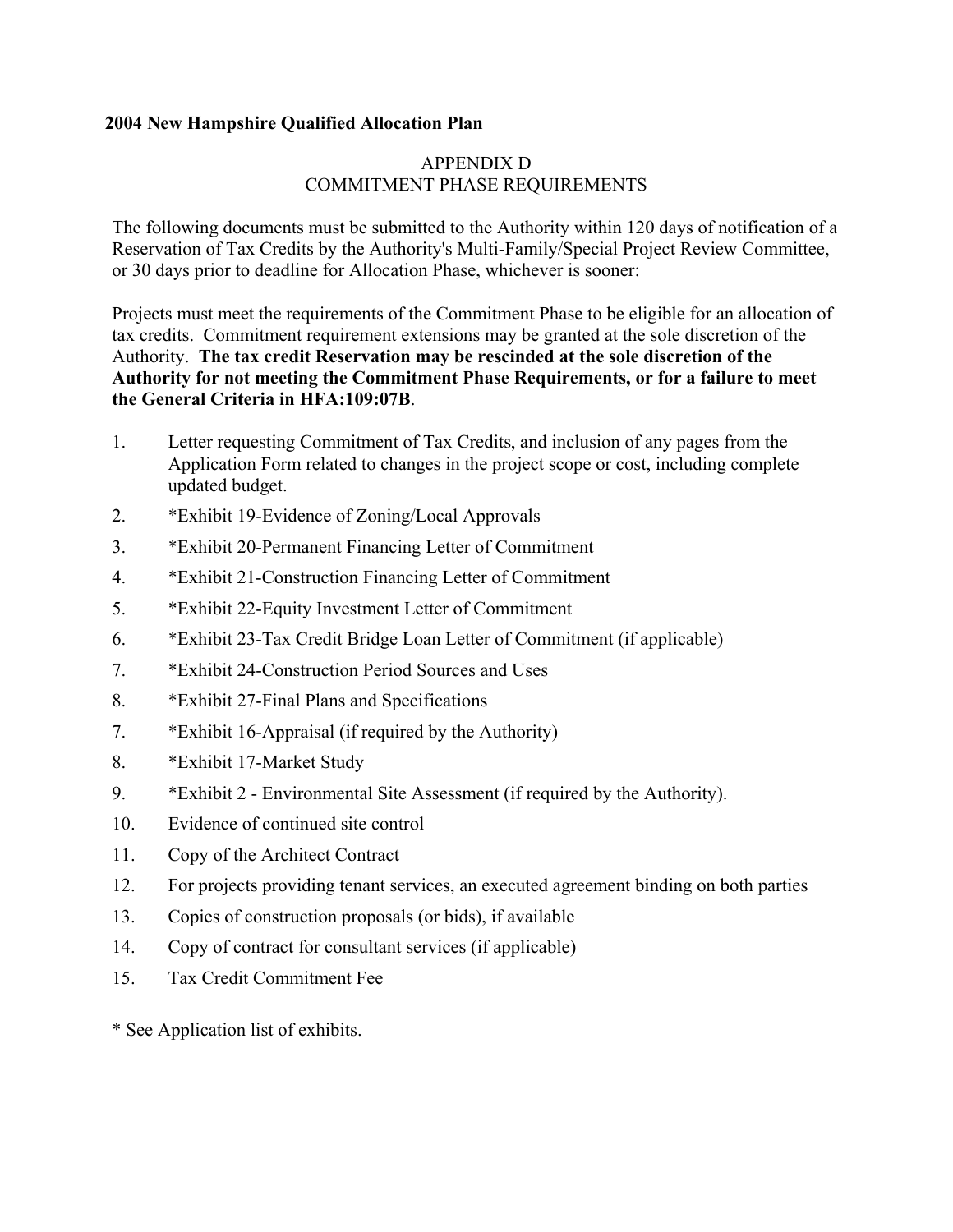# APPENDIX D COMMITMENT PHASE REQUIREMENTS

The following documents must be submitted to the Authority within 120 days of notification of a Reservation of Tax Credits by the Authority's Multi-Family/Special Project Review Committee, or 30 days prior to deadline for Allocation Phase, whichever is sooner:

Projects must meet the requirements of the Commitment Phase to be eligible for an allocation of tax credits. Commitment requirement extensions may be granted at the sole discretion of the Authority. **The tax credit Reservation may be rescinded at the sole discretion of the Authority for not meeting the Commitment Phase Requirements, or for a failure to meet the General Criteria in HFA:109:07B**.

- 1. Letter requesting Commitment of Tax Credits, and inclusion of any pages from the Application Form related to changes in the project scope or cost, including complete updated budget.
- 2. \*Exhibit 19-Evidence of Zoning/Local Approvals
- 3. \*Exhibit 20-Permanent Financing Letter of Commitment
- 4. \*Exhibit 21-Construction Financing Letter of Commitment
- 5. \*Exhibit 22-Equity Investment Letter of Commitment
- 6. \*Exhibit 23-Tax Credit Bridge Loan Letter of Commitment (if applicable)
- 7. \*Exhibit 24-Construction Period Sources and Uses
- 8. \*Exhibit 27-Final Plans and Specifications
- 7. \*Exhibit 16-Appraisal (if required by the Authority)
- 8. \*Exhibit 17-Market Study
- 9. \*Exhibit 2 Environmental Site Assessment (if required by the Authority).
- 10. Evidence of continued site control
- 11. Copy of the Architect Contract
- 12. For projects providing tenant services, an executed agreement binding on both parties
- 13. Copies of construction proposals (or bids), if available
- 14. Copy of contract for consultant services (if applicable)
- 15. Tax Credit Commitment Fee
- \* See Application list of exhibits.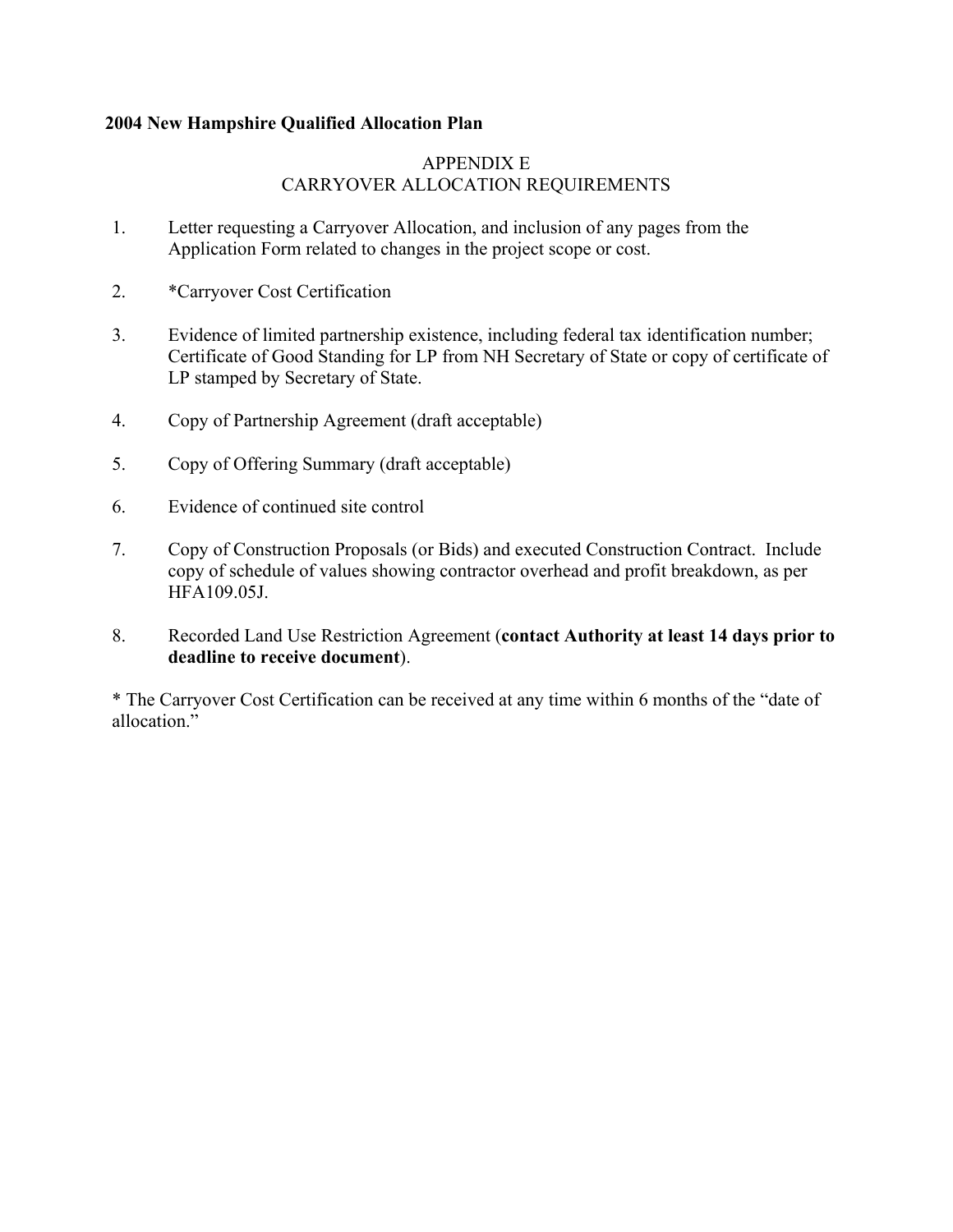# APPENDIX E CARRYOVER ALLOCATION REQUIREMENTS

- 1. Letter requesting a Carryover Allocation, and inclusion of any pages from the Application Form related to changes in the project scope or cost.
- 2. \*Carryover Cost Certification
- 3. Evidence of limited partnership existence, including federal tax identification number; Certificate of Good Standing for LP from NH Secretary of State or copy of certificate of LP stamped by Secretary of State.
- 4. Copy of Partnership Agreement (draft acceptable)
- 5. Copy of Offering Summary (draft acceptable)
- 6. Evidence of continued site control
- 7. Copy of Construction Proposals (or Bids) and executed Construction Contract. Include copy of schedule of values showing contractor overhead and profit breakdown, as per HFA109.05J.
- 8. Recorded Land Use Restriction Agreement (**contact Authority at least 14 days prior to deadline to receive document**).

\* The Carryover Cost Certification can be received at any time within 6 months of the "date of allocation<sup>"</sup>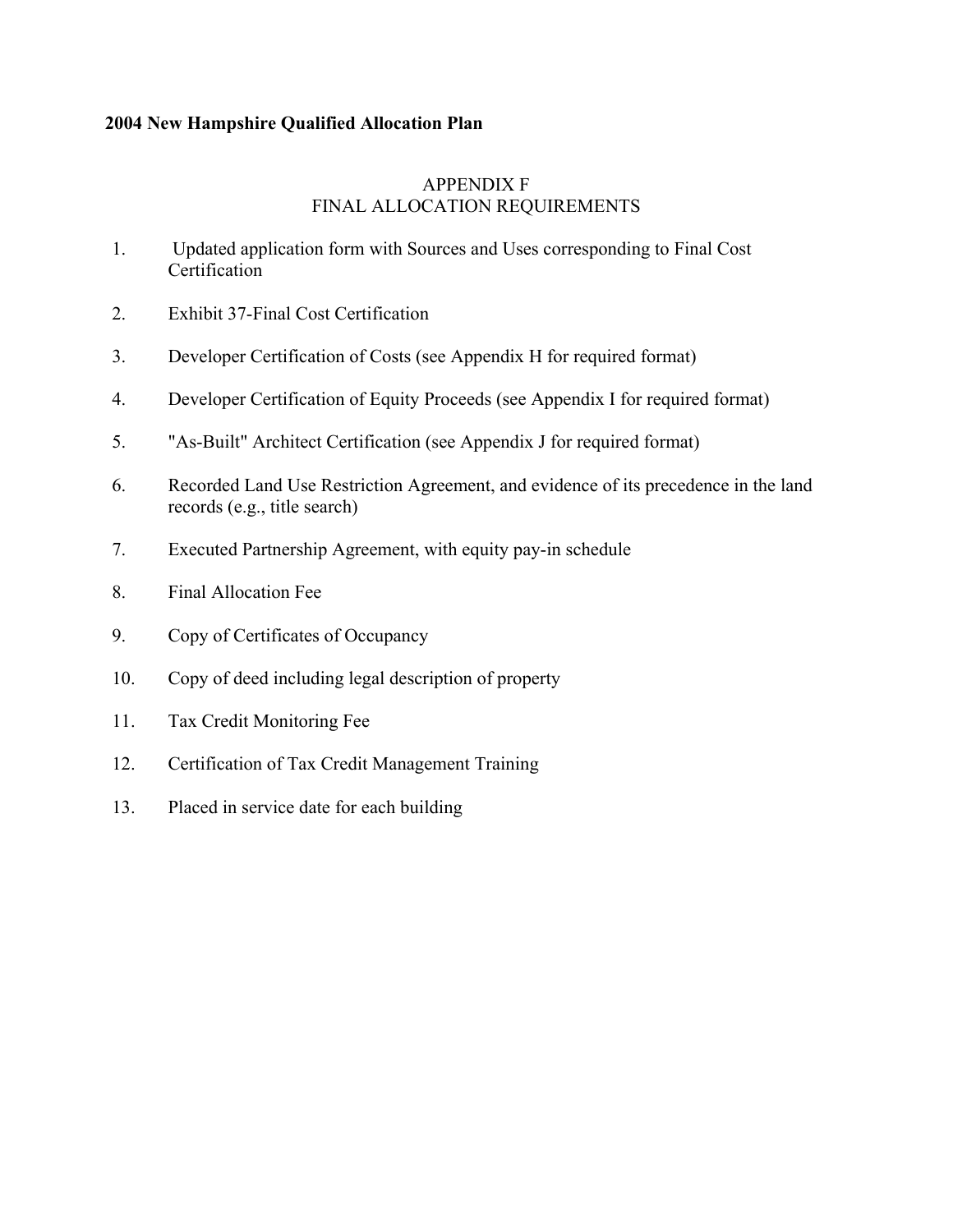## APPENDIX F FINAL ALLOCATION REQUIREMENTS

- 1. Updated application form with Sources and Uses corresponding to Final Cost Certification
- 2. Exhibit 37-Final Cost Certification
- 3. Developer Certification of Costs (see Appendix H for required format)
- 4. Developer Certification of Equity Proceeds (see Appendix I for required format)
- 5. "As-Built" Architect Certification (see Appendix J for required format)
- 6. Recorded Land Use Restriction Agreement, and evidence of its precedence in the land records (e.g., title search)
- 7. Executed Partnership Agreement, with equity pay-in schedule
- 8. Final Allocation Fee
- 9. Copy of Certificates of Occupancy
- 10. Copy of deed including legal description of property
- 11. Tax Credit Monitoring Fee
- 12. Certification of Tax Credit Management Training
- 13. Placed in service date for each building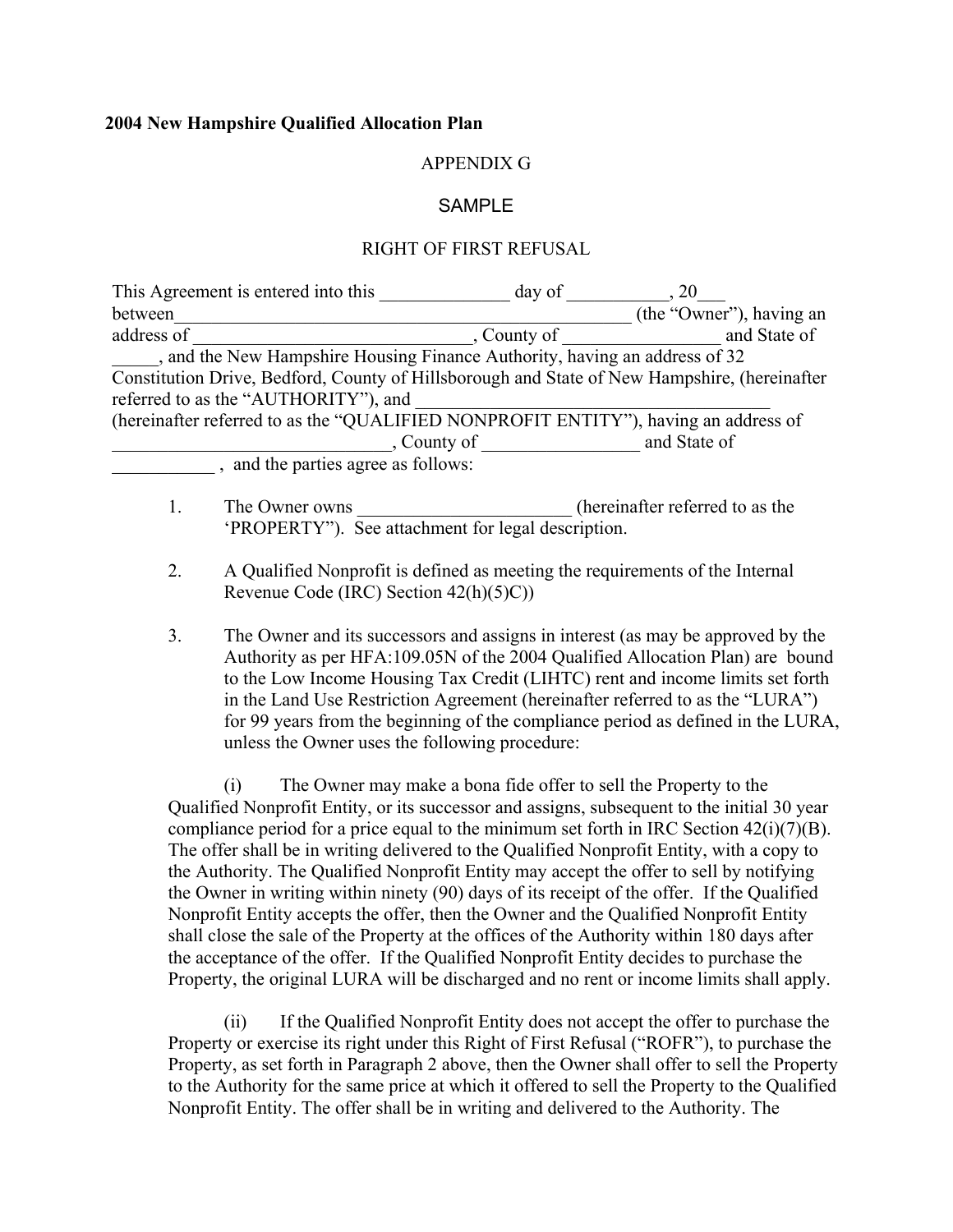### APPENDIX G

### **SAMPLE**

### RIGHT OF FIRST REFUSAL

| This Agreement is entered into this                                                          | day of      | 20                       |
|----------------------------------------------------------------------------------------------|-------------|--------------------------|
| between                                                                                      |             | (the "Owner"), having an |
| address of                                                                                   | County of   | and State of             |
| , and the New Hampshire Housing Finance Authority, having an address of 32                   |             |                          |
| Constitution Drive, Bedford, County of Hillsborough and State of New Hampshire, (hereinafter |             |                          |
| referred to as the "AUTHORITY"), and                                                         |             |                          |
| (hereinafter referred to as the "QUALIFIED NONPROFIT ENTITY"), having an address of          |             |                          |
|                                                                                              | , County of | and State of             |
| and the parties agree as follows:                                                            |             |                          |
|                                                                                              |             |                          |

- 1. The Owner owns (hereinafter referred to as the 'PROPERTY"). See attachment for legal description.
- 2. A Qualified Nonprofit is defined as meeting the requirements of the Internal Revenue Code (IRC) Section 42(h)(5)C))
- 3. The Owner and its successors and assigns in interest (as may be approved by the Authority as per HFA:109.05N of the 2004 Qualified Allocation Plan) are bound to the Low Income Housing Tax Credit (LIHTC) rent and income limits set forth in the Land Use Restriction Agreement (hereinafter referred to as the "LURA") for 99 years from the beginning of the compliance period as defined in the LURA, unless the Owner uses the following procedure:

(i) The Owner may make a bona fide offer to sell the Property to the Qualified Nonprofit Entity, or its successor and assigns, subsequent to the initial 30 year compliance period for a price equal to the minimum set forth in IRC Section  $42(i)(7)(B)$ . The offer shall be in writing delivered to the Qualified Nonprofit Entity, with a copy to the Authority. The Qualified Nonprofit Entity may accept the offer to sell by notifying the Owner in writing within ninety (90) days of its receipt of the offer. If the Qualified Nonprofit Entity accepts the offer, then the Owner and the Qualified Nonprofit Entity shall close the sale of the Property at the offices of the Authority within 180 days after the acceptance of the offer. If the Qualified Nonprofit Entity decides to purchase the Property, the original LURA will be discharged and no rent or income limits shall apply.

(ii) If the Qualified Nonprofit Entity does not accept the offer to purchase the Property or exercise its right under this Right of First Refusal ("ROFR"), to purchase the Property, as set forth in Paragraph 2 above, then the Owner shall offer to sell the Property to the Authority for the same price at which it offered to sell the Property to the Qualified Nonprofit Entity. The offer shall be in writing and delivered to the Authority. The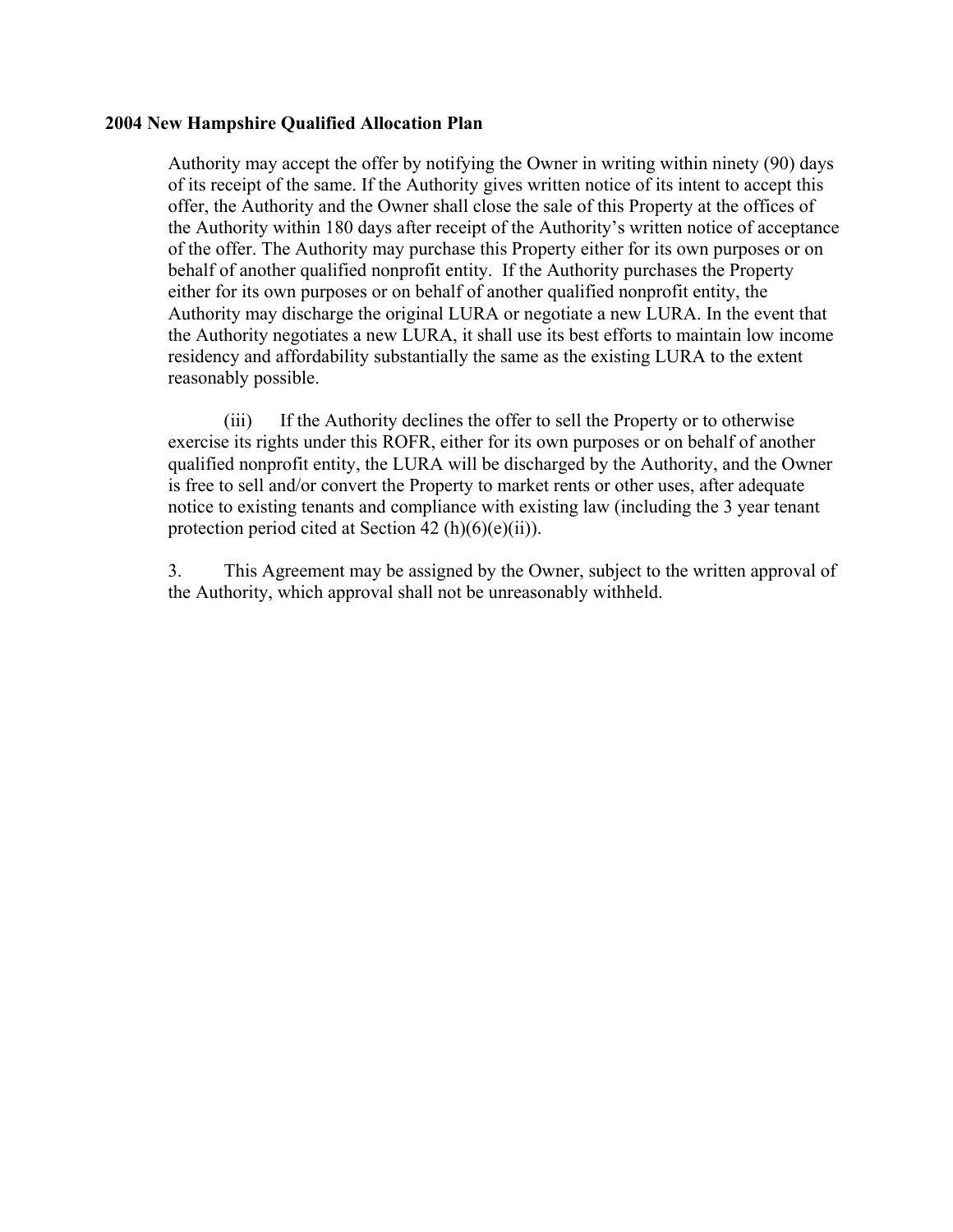Authority may accept the offer by notifying the Owner in writing within ninety (90) days of its receipt of the same. If the Authority gives written notice of its intent to accept this offer, the Authority and the Owner shall close the sale of this Property at the offices of the Authority within 180 days after receipt of the Authority's written notice of acceptance of the offer. The Authority may purchase this Property either for its own purposes or on behalf of another qualified nonprofit entity. If the Authority purchases the Property either for its own purposes or on behalf of another qualified nonprofit entity, the Authority may discharge the original LURA or negotiate a new LURA. In the event that the Authority negotiates a new LURA, it shall use its best efforts to maintain low income residency and affordability substantially the same as the existing LURA to the extent reasonably possible.

(iii) If the Authority declines the offer to sell the Property or to otherwise exercise its rights under this ROFR, either for its own purposes or on behalf of another qualified nonprofit entity, the LURA will be discharged by the Authority, and the Owner is free to sell and/or convert the Property to market rents or other uses, after adequate notice to existing tenants and compliance with existing law (including the 3 year tenant protection period cited at Section 42 (h) $(6)(e)(ii)$ ).

3. This Agreement may be assigned by the Owner, subject to the written approval of the Authority, which approval shall not be unreasonably withheld.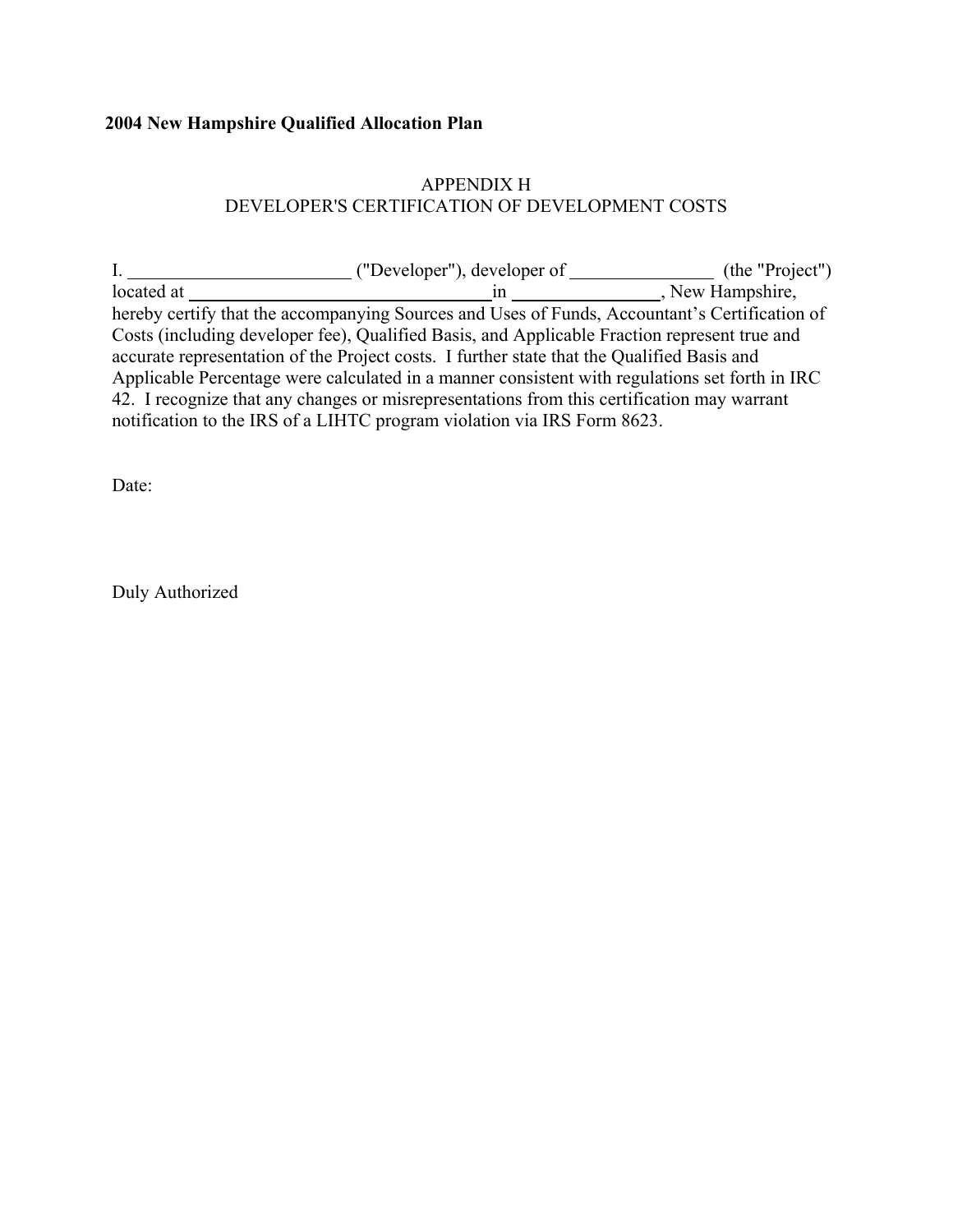# APPENDIX H DEVELOPER'S CERTIFICATION OF DEVELOPMENT COSTS

|            | ("Developer"), developer of                                                                    | (the "Project") |
|------------|------------------------------------------------------------------------------------------------|-----------------|
| located at |                                                                                                | New Hampshire,  |
|            | hereby certify that the accompanying Sources and Uses of Funds, Accountant's Certification of  |                 |
|            | Costs (including developer fee), Qualified Basis, and Applicable Fraction represent true and   |                 |
|            | accurate representation of the Project costs. I further state that the Qualified Basis and     |                 |
|            | Applicable Percentage were calculated in a manner consistent with regulations set forth in IRC |                 |
|            | 42. I recognize that any changes or misrepresentations from this certification may warrant     |                 |
|            | notification to the IRS of a LIHTC program violation via IRS Form 8623.                        |                 |

Date:

Duly Authorized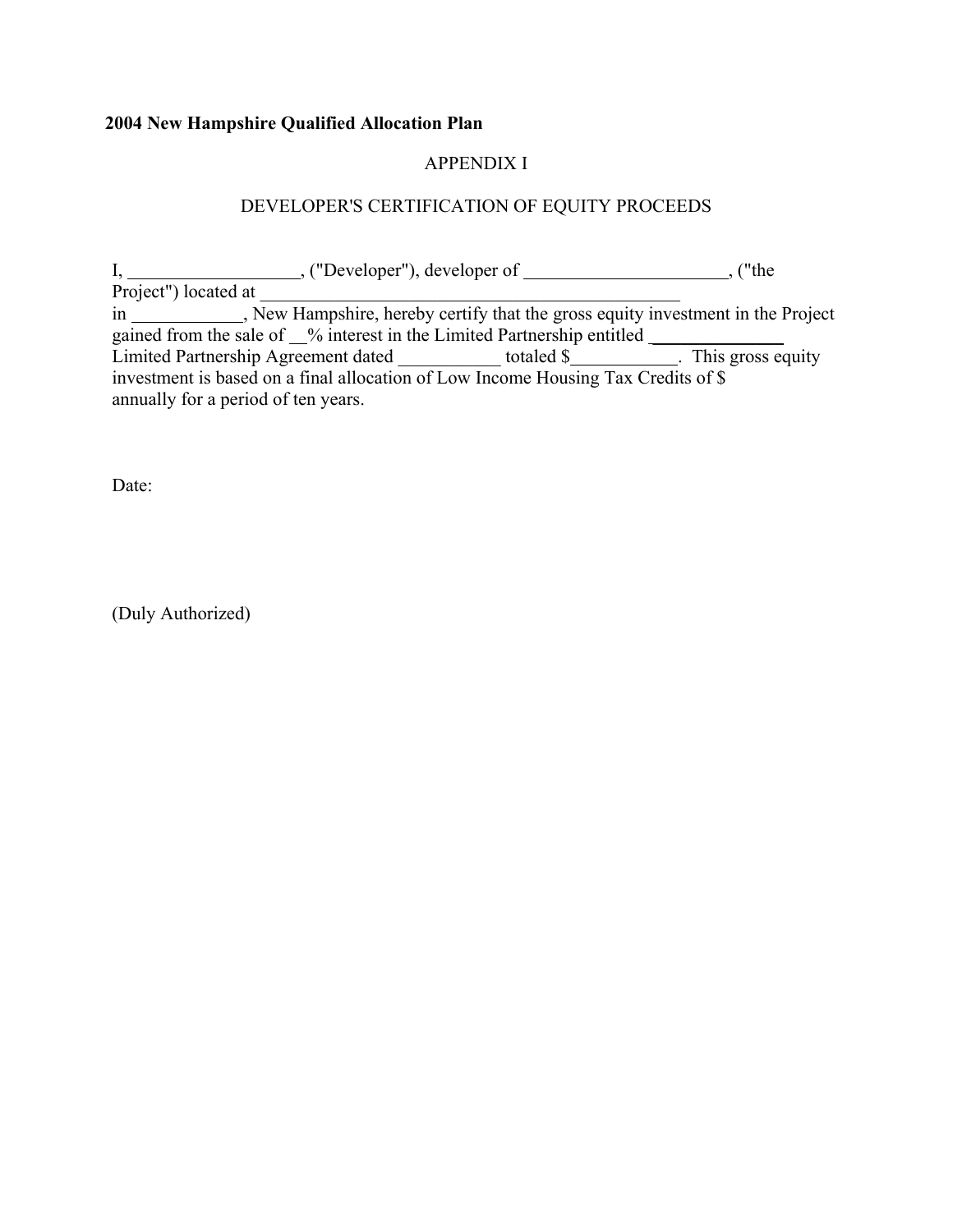# APPENDIX I

# DEVELOPER'S CERTIFICATION OF EQUITY PROCEEDS

|                                                                                   | $,$ ("Developer"), developer of $\qquad$ | wthe                |
|-----------------------------------------------------------------------------------|------------------------------------------|---------------------|
| Project") located at                                                              |                                          |                     |
| in New Hampshire, hereby certify that the gross equity investment in the Project  |                                          |                     |
| gained from the sale of <u>v</u> interest in the Limited Partnership entitled     |                                          |                     |
| Limited Partnership Agreement dated                                               | totaled \$                               | . This gross equity |
| investment is based on a final allocation of Low Income Housing Tax Credits of \$ |                                          |                     |
| annually for a period of ten years.                                               |                                          |                     |

Date:

(Duly Authorized)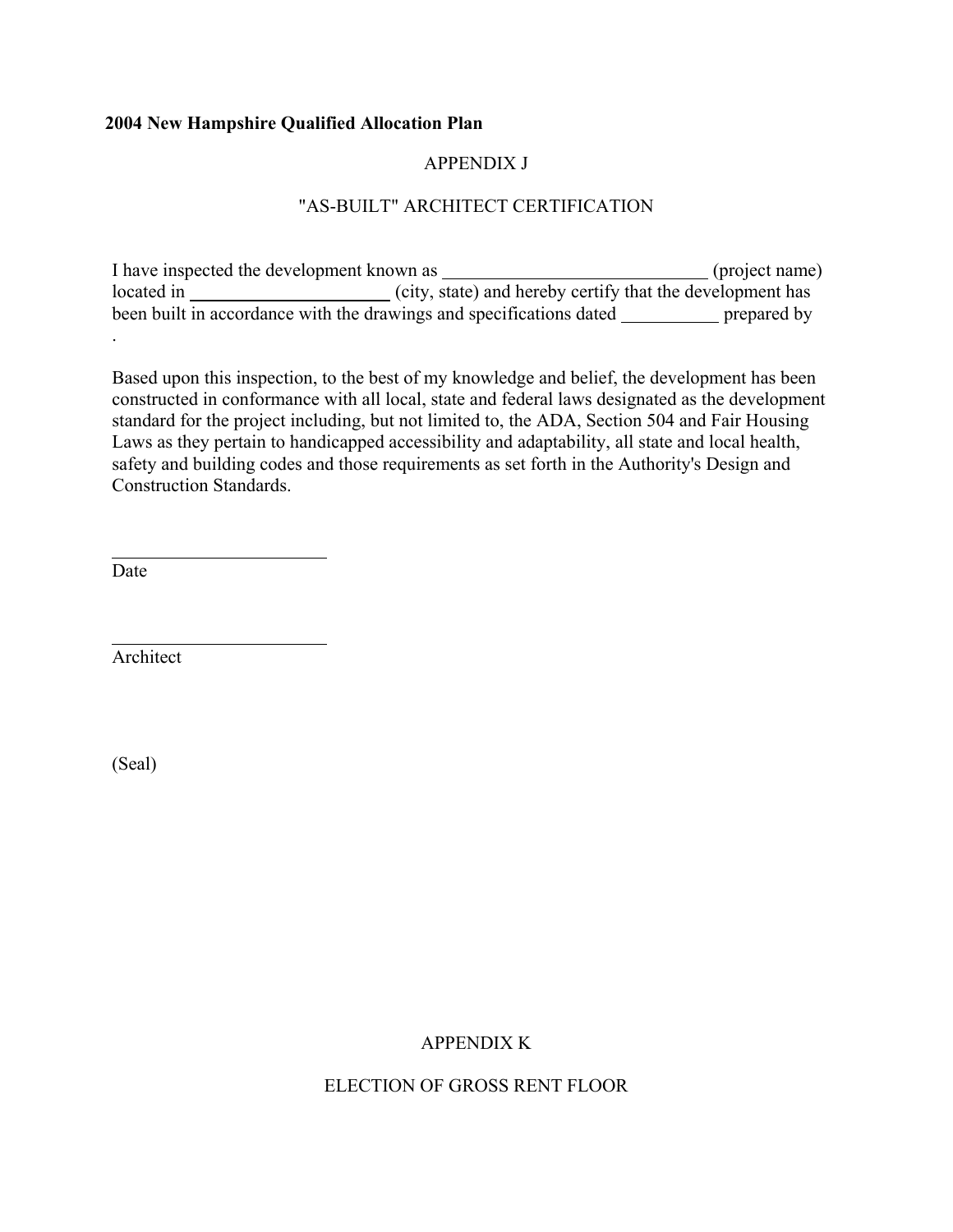# APPENDIX J

# "AS-BUILT" ARCHITECT CERTIFICATION

I have inspected the development known as \_\_\_\_\_\_\_\_\_\_\_\_\_\_\_\_\_\_\_\_\_\_\_\_\_\_\_\_\_\_\_\_(project name) located in  $\frac{1}{\sqrt{1-\frac{1}{\sqrt{1-\frac{1}{\sqrt{1-\frac{1}{\sqrt{1-\frac{1}{\sqrt{1-\frac{1}{\sqrt{1-\frac{1}{\sqrt{1-\frac{1}{\sqrt{1-\frac{1}{\sqrt{1-\frac{1}{\sqrt{1-\frac{1}{\sqrt{1-\frac{1}{\sqrt{1-\frac{1}{\sqrt{1-\frac{1}{\sqrt{1-\frac{1}{\sqrt{1-\frac{1}{\sqrt{1-\frac{1}{\sqrt{1-\frac{1}{\sqrt{1-\frac{1}{\sqrt{1-\frac{1}{\sqrt{1-\frac{1}{\sqrt{1-\frac{1}{\sqrt{1-\frac{1}{\sqrt{1-\frac{$ been built in accordance with the drawings and specifications dated prepared by

Based upon this inspection, to the best of my knowledge and belief, the development has been constructed in conformance with all local, state and federal laws designated as the development standard for the project including, but not limited to, the ADA, Section 504 and Fair Housing Laws as they pertain to handicapped accessibility and adaptability, all state and local health, safety and building codes and those requirements as set forth in the Authority's Design and Construction Standards.

Date

l

 $\overline{a}$ 

.

Architect

(Seal)

# APPENDIX K

ELECTION OF GROSS RENT FLOOR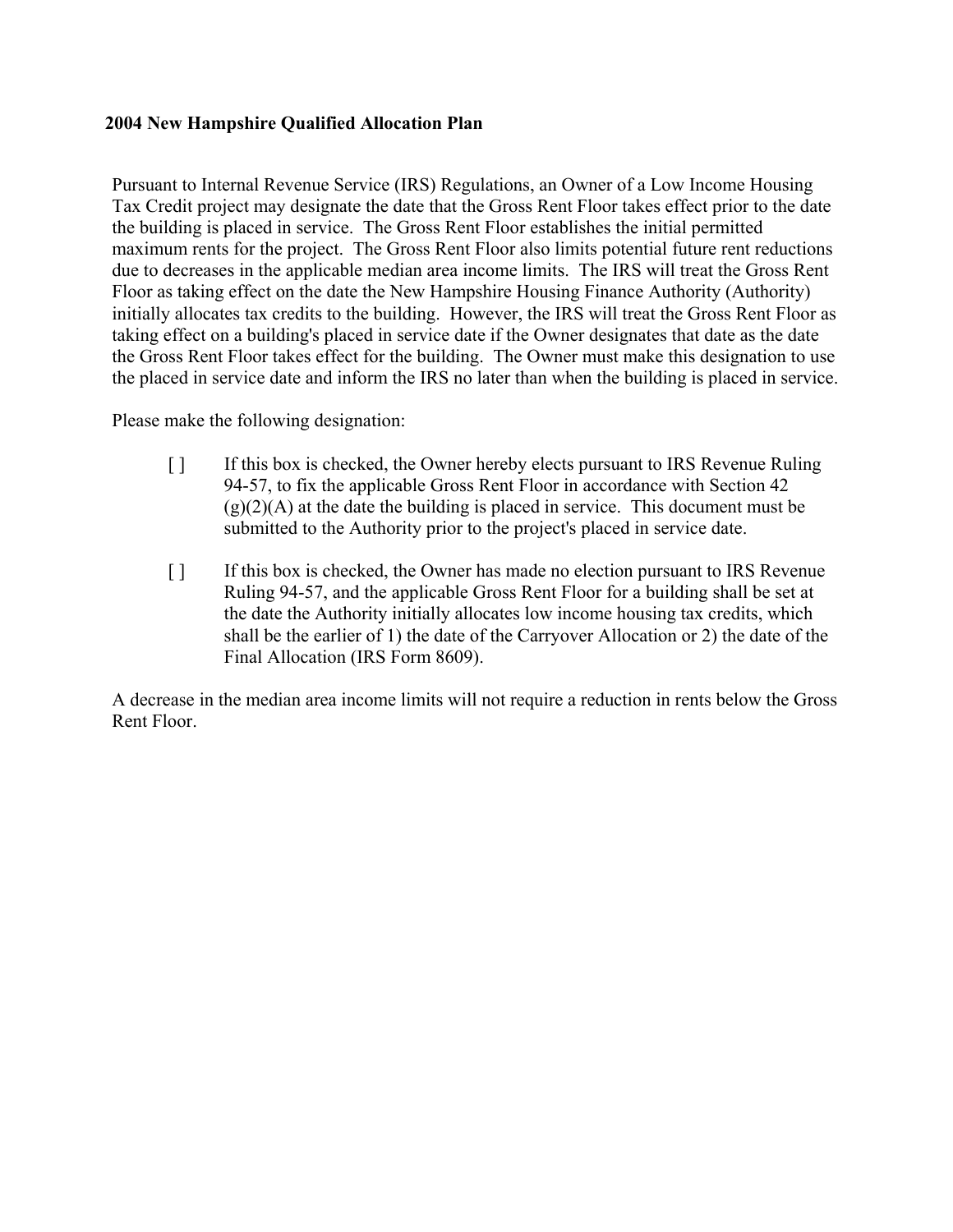Pursuant to Internal Revenue Service (IRS) Regulations, an Owner of a Low Income Housing Tax Credit project may designate the date that the Gross Rent Floor takes effect prior to the date the building is placed in service. The Gross Rent Floor establishes the initial permitted maximum rents for the project. The Gross Rent Floor also limits potential future rent reductions due to decreases in the applicable median area income limits. The IRS will treat the Gross Rent Floor as taking effect on the date the New Hampshire Housing Finance Authority (Authority) initially allocates tax credits to the building. However, the IRS will treat the Gross Rent Floor as taking effect on a building's placed in service date if the Owner designates that date as the date the Gross Rent Floor takes effect for the building. The Owner must make this designation to use the placed in service date and inform the IRS no later than when the building is placed in service.

Please make the following designation:

- [ ] If this box is checked, the Owner hereby elects pursuant to IRS Revenue Ruling 94-57, to fix the applicable Gross Rent Floor in accordance with Section 42  $(g)(2)(A)$  at the date the building is placed in service. This document must be submitted to the Authority prior to the project's placed in service date.
- [ ] If this box is checked, the Owner has made no election pursuant to IRS Revenue Ruling 94-57, and the applicable Gross Rent Floor for a building shall be set at the date the Authority initially allocates low income housing tax credits, which shall be the earlier of 1) the date of the Carryover Allocation or 2) the date of the Final Allocation (IRS Form 8609).

A decrease in the median area income limits will not require a reduction in rents below the Gross Rent Floor.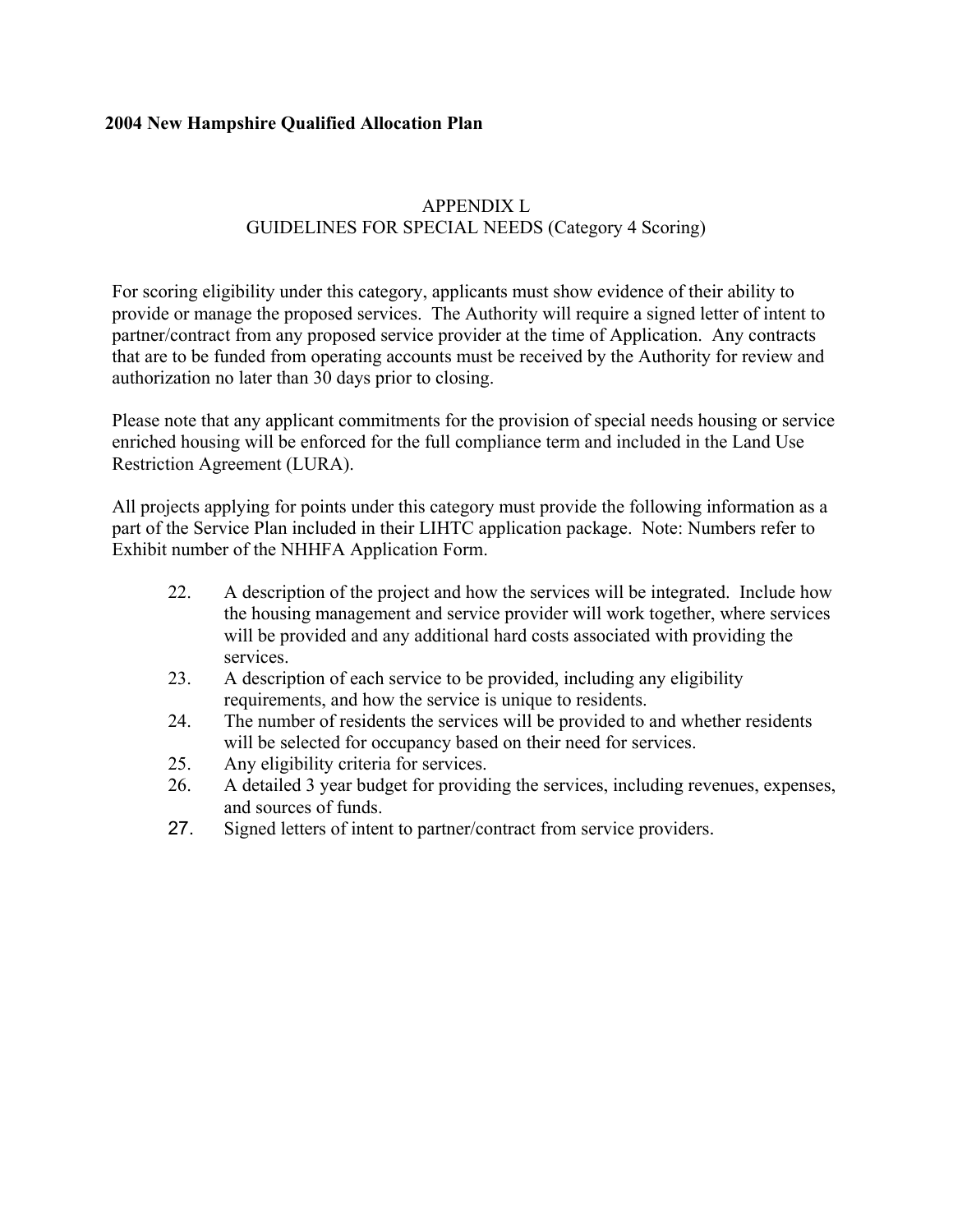# APPENDIX L GUIDELINES FOR SPECIAL NEEDS (Category 4 Scoring)

For scoring eligibility under this category, applicants must show evidence of their ability to provide or manage the proposed services. The Authority will require a signed letter of intent to partner/contract from any proposed service provider at the time of Application. Any contracts that are to be funded from operating accounts must be received by the Authority for review and authorization no later than 30 days prior to closing.

Please note that any applicant commitments for the provision of special needs housing or service enriched housing will be enforced for the full compliance term and included in the Land Use Restriction Agreement (LURA).

All projects applying for points under this category must provide the following information as a part of the Service Plan included in their LIHTC application package. Note: Numbers refer to Exhibit number of the NHHFA Application Form.

- 22. A description of the project and how the services will be integrated. Include how the housing management and service provider will work together, where services will be provided and any additional hard costs associated with providing the services.
- 23. A description of each service to be provided, including any eligibility requirements, and how the service is unique to residents.
- 24. The number of residents the services will be provided to and whether residents will be selected for occupancy based on their need for services.
- 25. Any eligibility criteria for services.
- 26. A detailed 3 year budget for providing the services, including revenues, expenses, and sources of funds.
- 27. Signed letters of intent to partner/contract from service providers.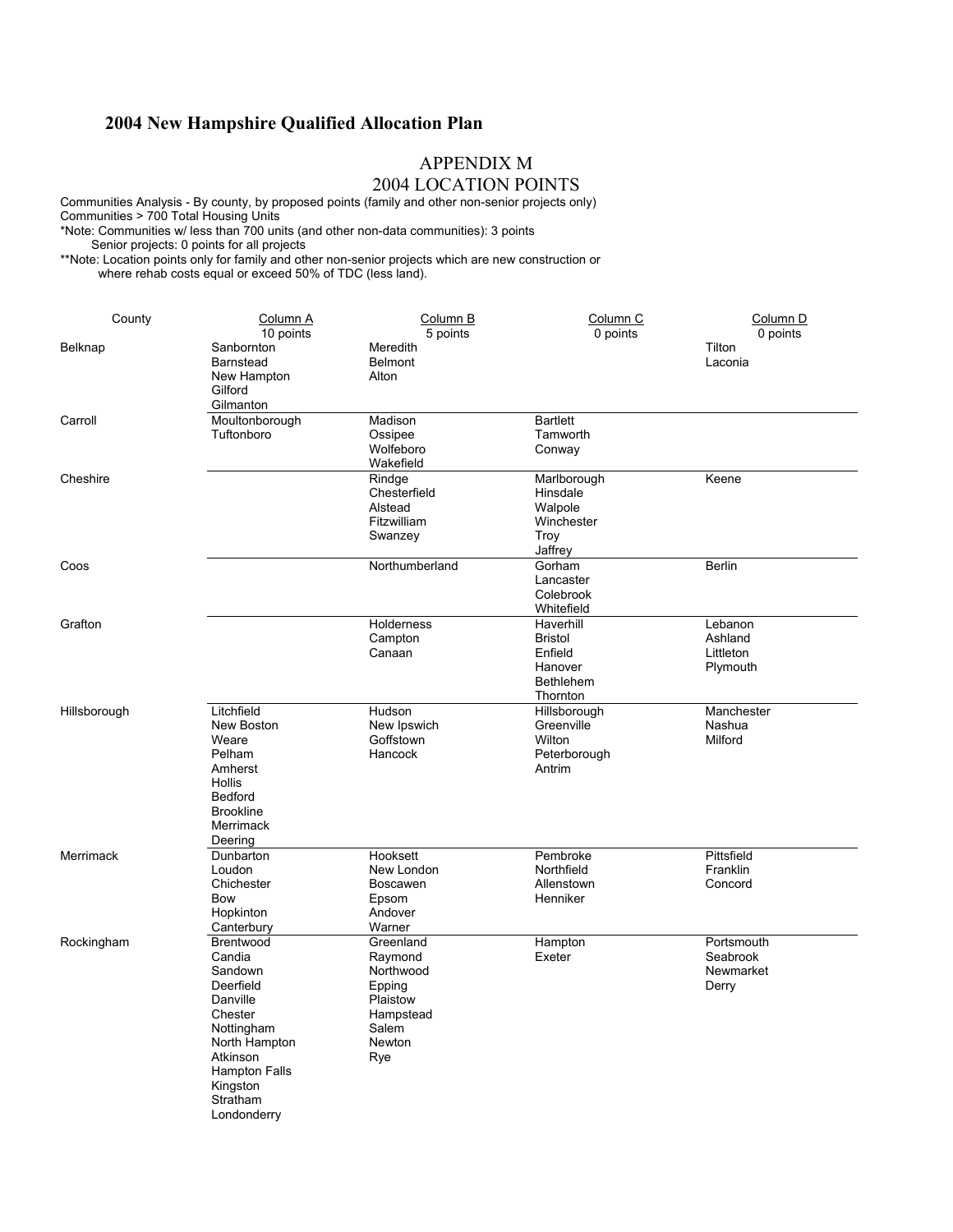### APPENDIX M

### 2004 LOCATION POINTS

Communities Analysis - By county, by proposed points (family and other non-senior projects only) Communities > 700 Total Housing Units \*Note: Communities w/ less than 700 units (and other non-data communities): 3 points

Senior projects: 0 points for all projects

\*\*Note: Location points only for family and other non-senior projects which are new construction or where rehab costs equal or exceed 50% of TDC (less land).

| County       | Column A<br>10 points                                                                                                                                                        | Column B<br>5 points                                                                           | Column C<br>0 points                                                              | Column <sub>D</sub><br>0 points              |
|--------------|------------------------------------------------------------------------------------------------------------------------------------------------------------------------------|------------------------------------------------------------------------------------------------|-----------------------------------------------------------------------------------|----------------------------------------------|
| Belknap      | Sanbornton<br><b>Barnstead</b><br>New Hampton<br>Gilford<br>Gilmanton                                                                                                        | Meredith<br><b>Belmont</b><br>Alton                                                            |                                                                                   | Tilton<br>Laconia                            |
| Carroll      | Moultonborough<br>Tuftonboro                                                                                                                                                 | Madison<br>Ossipee<br>Wolfeboro<br>Wakefield                                                   | <b>Bartlett</b><br>Tamworth<br>Conway                                             |                                              |
| Cheshire     |                                                                                                                                                                              | Rindge<br>Chesterfield<br>Alstead<br>Fitzwilliam<br>Swanzey                                    | Marlborough<br>Hinsdale<br>Walpole<br>Winchester<br>Troy<br>Jaffrey               | Keene                                        |
| Coos         |                                                                                                                                                                              | Northumberland                                                                                 | Gorham<br>Lancaster<br>Colebrook<br>Whitefield                                    | <b>Berlin</b>                                |
| Grafton      |                                                                                                                                                                              | Holderness<br>Campton<br>Canaan                                                                | Haverhill<br><b>Bristol</b><br>Enfield<br>Hanover<br><b>Bethlehem</b><br>Thornton | Lebanon<br>Ashland<br>Littleton<br>Plymouth  |
| Hillsborough | Litchfield<br>New Boston<br>Weare<br>Pelham<br>Amherst<br>Hollis<br><b>Bedford</b><br><b>Brookline</b><br>Merrimack<br>Deering                                               | Hudson<br>New Ipswich<br>Goffstown<br>Hancock                                                  | Hillsborough<br>Greenville<br>Wilton<br>Peterborough<br>Antrim                    | Manchester<br>Nashua<br>Milford              |
| Merrimack    | Dunbarton<br>Loudon<br>Chichester<br>Bow<br>Hopkinton<br>Canterbury                                                                                                          | Hooksett<br>New London<br>Boscawen<br>Epsom<br>Andover<br>Warner                               | Pembroke<br>Northfield<br>Allenstown<br>Henniker                                  | Pittsfield<br>Franklin<br>Concord            |
| Rockingham   | Brentwood<br>Candia<br>Sandown<br>Deerfield<br>Danville<br>Chester<br>Nottingham<br>North Hampton<br>Atkinson<br><b>Hampton Falls</b><br>Kingston<br>Stratham<br>Londonderry | Greenland<br>Raymond<br>Northwood<br>Epping<br>Plaistow<br>Hampstead<br>Salem<br>Newton<br>Rye | Hampton<br>Exeter                                                                 | Portsmouth<br>Seabrook<br>Newmarket<br>Derry |